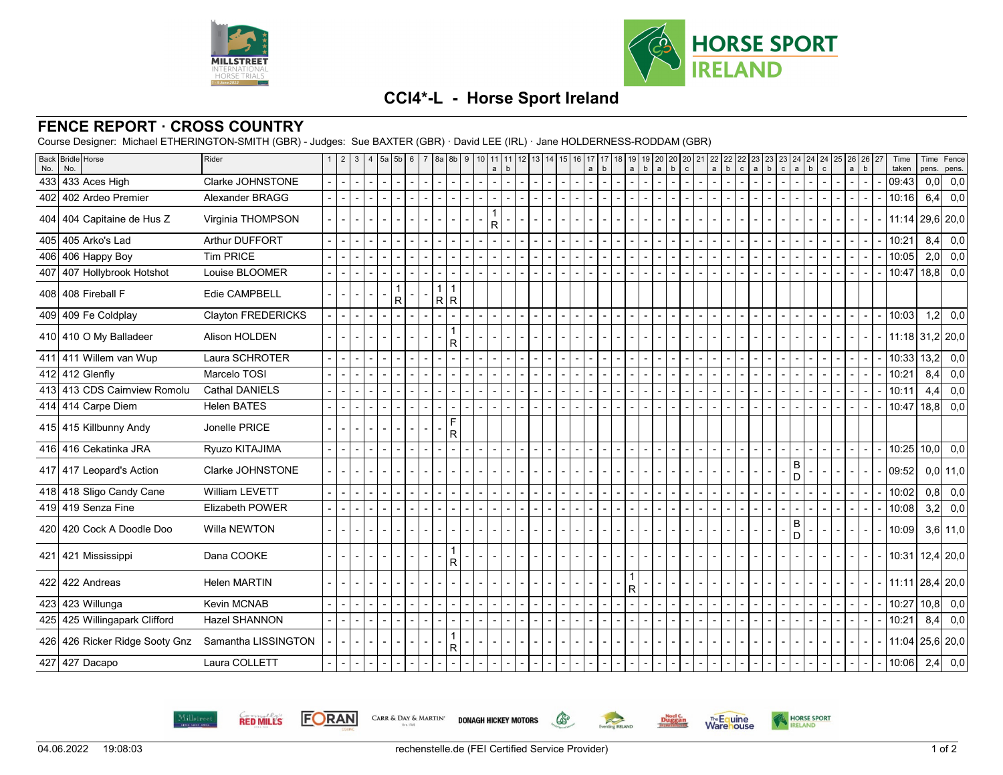



## **CCI4\*-L - Horse Sport Ireland**

## **FENCE REPORT · CROSS COUNTRY**

Course Designer: Michael ETHERINGTON-SMITH (GBR) - Judges: Sue BAXTER (GBR) · David LEE (IRL) · Jane HOLDERNESS-RODDAM (GBR)

| <b>Back</b><br>No. | <b>Bridle</b> Horse<br>No.     | Rider                  | 2 | 3   4   5a   5b   6      |              |              |  | $7 \text{ 8a} 8b$                                    |                                | 9 10 | 11<br>a                  | b              | 12 | 13 14 | 15                       | 16             | 17<br>$\mathsf{a}$ | $\mathbf b$ | 19  <br>a                | 19<br>$\mathsf b$<br>$\mathsf{a}$ | 20 20 20 21<br>$\mathbf b$ | $\mathbf{c}$ |                          | 22<br>$\mathsf{a}$       | 22<br>$\sf b$<br>$\mathsf{c}$ | 22 | 23<br>$a \mid b$ | 23<br>23<br>$\mathtt{c}$ | 24<br>$\mathsf{a}$  | $\mathbf b$ | $\mathbf{c}$ | 24 24 25 26 26 27<br>$\mathsf{a}$ | $\mathsf b$              | Time<br>taken         | Time<br>pens. | Fence<br>pens. |     |
|--------------------|--------------------------------|------------------------|---|--------------------------|--------------|--------------|--|------------------------------------------------------|--------------------------------|------|--------------------------|----------------|----|-------|--------------------------|----------------|--------------------|-------------|--------------------------|-----------------------------------|----------------------------|--------------|--------------------------|--------------------------|-------------------------------|----|------------------|--------------------------|---------------------|-------------|--------------|-----------------------------------|--------------------------|-----------------------|---------------|----------------|-----|
|                    | 433   433 Aces High            | Clarke JOHNSTONE       |   | $\overline{\phantom{0}}$ | $\mathbf{r}$ |              |  | $\overline{\phantom{0}}$<br>$\overline{\phantom{a}}$ |                                |      | $\overline{\phantom{0}}$ | $\overline{a}$ |    |       |                          | $\overline{a}$ | $\overline{a}$     |             |                          |                                   |                            |              | $\overline{a}$           | $\overline{\phantom{a}}$ |                               |    |                  |                          |                     |             |              | $\mathbf{r}$                      | $\overline{a}$           | 09:43                 | 0,0           |                | 0,0 |
| 402                | 402 Ardeo Premier              | Alexander BRAGG        |   | $\blacksquare$           |              |              |  |                                                      |                                |      |                          |                |    |       |                          |                |                    |             |                          |                                   |                            |              |                          |                          |                               |    |                  |                          |                     |             |              |                                   |                          | 10:16                 | 6,4           |                | 0,0 |
| 404                | 404 Capitaine de Hus Z         | Virginia THOMPSON      |   |                          |              |              |  |                                                      |                                |      | R                        |                |    |       |                          |                |                    |             |                          |                                   |                            |              |                          |                          |                               |    |                  |                          |                     |             |              |                                   |                          | 11:14                 | 29,6 20,0     |                |     |
| 405                | 405 Arko's Lad                 | <b>Arthur DUFFORT</b>  |   |                          |              |              |  |                                                      |                                |      |                          |                |    |       |                          |                |                    |             |                          |                                   |                            |              |                          |                          |                               |    |                  |                          |                     |             |              |                                   |                          | 10:21                 | 8,4           |                | 0,0 |
|                    | 406 406 Happy Boy              | <b>Tim PRICE</b>       |   |                          |              |              |  |                                                      |                                |      |                          |                |    |       |                          |                |                    |             |                          |                                   |                            |              |                          |                          |                               |    |                  |                          |                     |             |              |                                   | $\overline{a}$           | 10:05                 | $2,0$ 0,0     |                |     |
|                    | 407 407 Hollybrook Hotshot     | Louise BLOOMER         |   |                          |              |              |  |                                                      |                                |      |                          |                |    |       |                          |                |                    |             |                          |                                   |                            |              |                          |                          |                               |    |                  |                          |                     |             |              |                                   |                          | 10:47                 | 18,8          |                | 0,0 |
|                    | 408 408 Fireball F             | Edie CAMPBELL          |   |                          |              | $\mathsf{R}$ |  | $\mathbf{1}$                                         | $\overline{\mathbf{1}}$<br>R R |      |                          |                |    |       |                          |                |                    |             |                          |                                   |                            |              |                          |                          |                               |    |                  |                          |                     |             |              |                                   |                          |                       |               |                |     |
|                    | 409 409 Fe Coldplay            | Clayton FREDERICKS     |   | $\blacksquare$           | $\sim$       |              |  |                                                      |                                |      | $\blacksquare$           |                |    |       |                          |                |                    |             | $\blacksquare$           | $\blacksquare$                    |                            |              | $\overline{\phantom{0}}$ |                          |                               |    |                  |                          |                     |             |              |                                   |                          | 10:03                 | $1,2$ 0,0     |                |     |
|                    | 410 410 O My Balladeer         | Alison HOLDEN          |   |                          |              |              |  |                                                      | R                              |      |                          |                |    |       |                          |                |                    |             |                          |                                   |                            |              |                          |                          |                               |    |                  |                          |                     |             |              |                                   |                          | 11:18 31,2 20,0       |               |                |     |
|                    | 411 411 Willem van Wup         | Laura SCHROTER         |   |                          |              |              |  |                                                      |                                |      |                          |                |    |       |                          |                |                    |             |                          |                                   |                            |              |                          |                          |                               |    |                  |                          |                     |             |              |                                   |                          | 10:33                 | 13,2          |                | 0,0 |
|                    | 412 412 Glenfly                | Marcelo TOSI           |   |                          |              |              |  |                                                      |                                |      |                          |                |    |       | $\overline{\phantom{a}}$ |                |                    |             |                          |                                   |                            |              |                          |                          |                               |    |                  |                          |                     |             |              |                                   | $\overline{\phantom{a}}$ | 10:21                 | 8,4           |                | 0,0 |
|                    | 413 413 CDS Cairnview Romolu   | <b>Cathal DANIELS</b>  |   |                          |              |              |  |                                                      |                                |      |                          |                |    |       |                          |                |                    |             |                          |                                   |                            |              |                          |                          |                               |    |                  |                          |                     |             |              |                                   |                          | 10:11                 | 4,4           |                | 0,0 |
|                    | 414 414 Carpe Diem             | <b>Helen BATES</b>     |   |                          |              |              |  |                                                      |                                |      |                          |                |    |       |                          |                |                    |             |                          |                                   |                            |              |                          |                          |                               |    |                  |                          |                     |             |              |                                   |                          | 10:47                 | $ 18,8 $ 0,0  |                |     |
|                    | 415 415 Killbunny Andy         | Jonelle PRICE          |   |                          |              |              |  |                                                      | F<br>$\overline{R}$            |      |                          |                |    |       |                          |                |                    |             |                          |                                   |                            |              |                          |                          |                               |    |                  |                          |                     |             |              |                                   |                          |                       |               |                |     |
|                    | 416 416 Cekatinka JRA          | Ryuzo KITAJIMA         |   |                          |              |              |  |                                                      |                                |      |                          |                |    |       |                          |                |                    |             |                          |                                   |                            |              |                          |                          |                               |    |                  |                          |                     |             |              |                                   |                          | 10:25                 | $ 10,0 $ 0,0  |                |     |
|                    | 417 417 Leopard's Action       | Clarke JOHNSTONE       |   |                          |              |              |  |                                                      |                                |      |                          |                |    |       |                          |                |                    |             |                          |                                   |                            |              |                          |                          |                               |    |                  |                          | $\overline{B}$<br>D |             |              |                                   |                          | 09:52                 | $0,0$   11,0  |                |     |
|                    | 418 418 Sligo Candy Cane       | William LEVETT         |   |                          |              |              |  |                                                      |                                |      |                          |                |    |       |                          |                |                    |             |                          |                                   |                            |              |                          |                          |                               |    |                  |                          |                     |             |              |                                   |                          | 10:02                 | $0,8$ 0,0     |                |     |
|                    | 419 419 Senza Fine             | <b>Elizabeth POWER</b> |   | $\overline{\phantom{0}}$ |              |              |  | $\overline{a}$                                       |                                |      | $\overline{a}$           |                |    |       | $\overline{\phantom{0}}$ |                |                    |             | $\overline{\phantom{0}}$ |                                   |                            |              | $\overline{\phantom{0}}$ |                          |                               |    |                  |                          |                     |             |              |                                   |                          | 10:08                 | 3,2 0,0       |                |     |
|                    | 420 420 Cock A Doodle Doo      | Willa NEWTON           |   |                          |              |              |  |                                                      |                                |      |                          |                |    |       |                          |                |                    |             |                          |                                   |                            |              |                          |                          |                               |    |                  |                          | B<br>D              |             |              |                                   |                          | 10:09                 | $3,6$   11,0  |                |     |
|                    | 421 421 Mississippi            | Dana COOKE             |   |                          |              |              |  |                                                      | $\overline{R}$                 |      |                          |                |    |       |                          |                |                    |             |                          |                                   |                            |              |                          |                          |                               |    |                  |                          |                     |             |              |                                   |                          | 10:31                 | 12,4 20,0     |                |     |
|                    | 422 Andreas                    | <b>Helen MARTIN</b>    |   |                          |              |              |  |                                                      |                                |      |                          |                |    |       |                          |                |                    |             | R                        |                                   |                            |              |                          |                          |                               |    |                  |                          |                     |             |              |                                   |                          | $11:11$   28,4   20,0 |               |                |     |
|                    | 423 423 Willunga               | Kevin MCNAB            |   |                          |              |              |  |                                                      |                                |      | $\overline{\phantom{a}}$ |                |    |       | $\overline{\phantom{0}}$ |                |                    |             | $\overline{\phantom{0}}$ |                                   |                            |              | $\overline{\phantom{0}}$ |                          |                               |    |                  |                          |                     |             |              |                                   |                          | 10:27                 | $ 10,8 $ 0,0  |                |     |
|                    | 425 425 Willingapark Clifford  | <b>Hazel SHANNON</b>   |   |                          |              |              |  |                                                      |                                |      |                          |                |    |       |                          |                |                    |             |                          |                                   |                            |              |                          |                          |                               |    |                  |                          |                     |             |              |                                   |                          | 10:21                 | 8,4           |                | 0,0 |
|                    | 426 426 Ricker Ridge Sooty Gnz | Samantha LISSINGTON    |   |                          |              |              |  |                                                      | R                              |      |                          |                |    |       |                          |                |                    |             |                          |                                   |                            |              |                          |                          |                               |    |                  |                          |                     |             |              |                                   |                          | 11:04                 | $25,6$ 20,0   |                |     |
|                    | 427 Dacapo                     | Laura COLLETT          |   |                          |              |              |  |                                                      |                                |      |                          |                |    |       |                          |                |                    |             |                          |                                   |                            |              |                          |                          |                               |    |                  |                          |                     |             |              |                                   |                          | 10:06                 | $2,4$ 0,0     |                |     |



**FORAN** CARR & DAY & MARTIN' **DONAGH HICKEY MOTORS** 





 $\mathbb{G}$